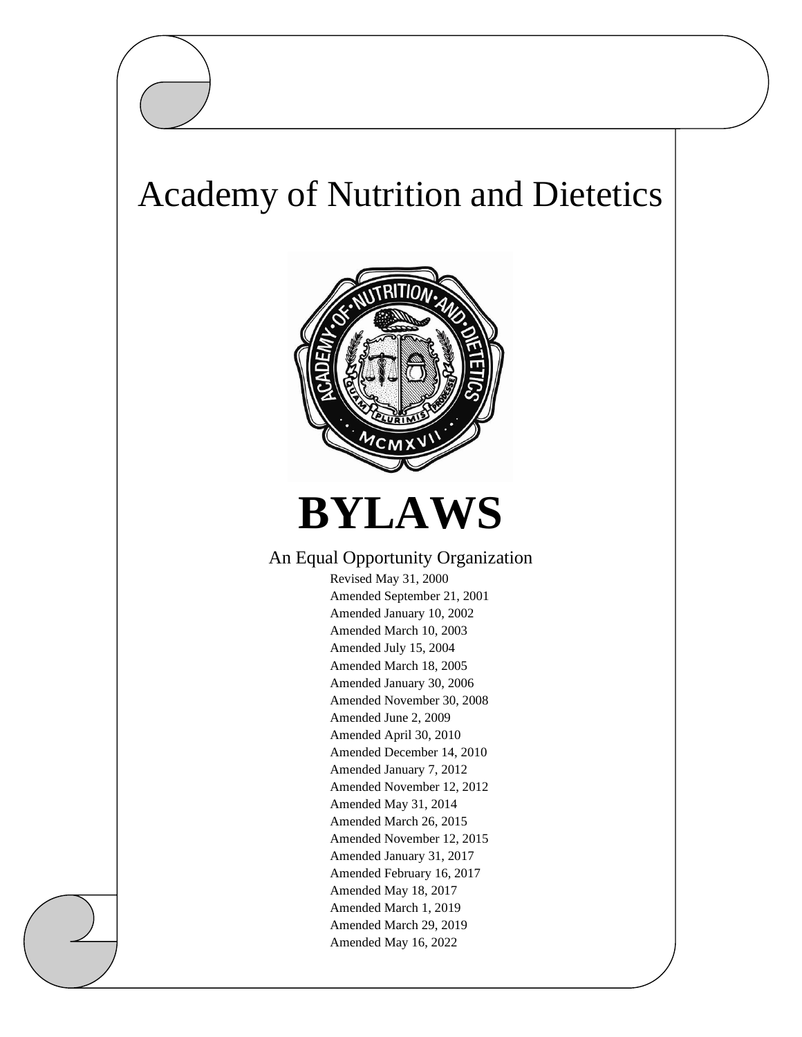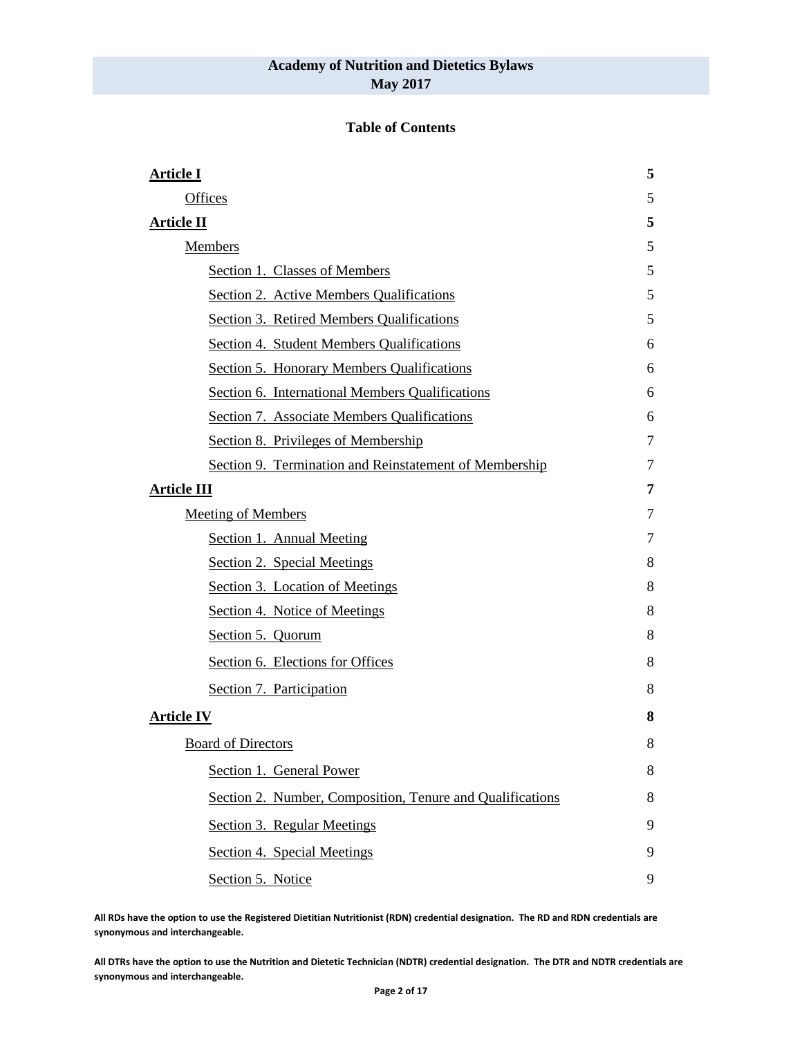#### **Table of Contents**

| <b>Article I</b>                                          | 5 |
|-----------------------------------------------------------|---|
| Offices                                                   | 5 |
| <b>Article II</b>                                         | 5 |
| <b>Members</b>                                            | 5 |
| Section 1. Classes of Members                             | 5 |
| Section 2. Active Members Qualifications                  | 5 |
| Section 3. Retired Members Qualifications                 | 5 |
| Section 4. Student Members Qualifications                 | 6 |
| Section 5. Honorary Members Qualifications                | 6 |
| Section 6. International Members Qualifications           | 6 |
| Section 7. Associate Members Qualifications               | 6 |
| Section 8. Privileges of Membership                       | 7 |
| Section 9. Termination and Reinstatement of Membership    | 7 |
| <b>Article III</b>                                        | 7 |
| <b>Meeting of Members</b>                                 | 7 |
| Section 1. Annual Meeting                                 | 7 |
| Section 2. Special Meetings                               | 8 |
| Section 3. Location of Meetings                           | 8 |
| Section 4. Notice of Meetings                             | 8 |
| Section 5. Quorum                                         | 8 |
| Section 6. Elections for Offices                          | 8 |
| Section 7. Participation                                  | 8 |
| <b>Article IV</b>                                         | 8 |
| <b>Board of Directors</b>                                 | 8 |
| Section 1. General Power                                  | 8 |
| Section 2. Number, Composition, Tenure and Qualifications | 8 |
| Section 3. Regular Meetings                               | 9 |
| Section 4. Special Meetings                               | 9 |
| Section 5. Notice                                         | 9 |

**All RDs have the option to use the Registered Dietitian Nutritionist (RDN) credential designation. The RD and RDN credentials are synonymous and interchangeable.**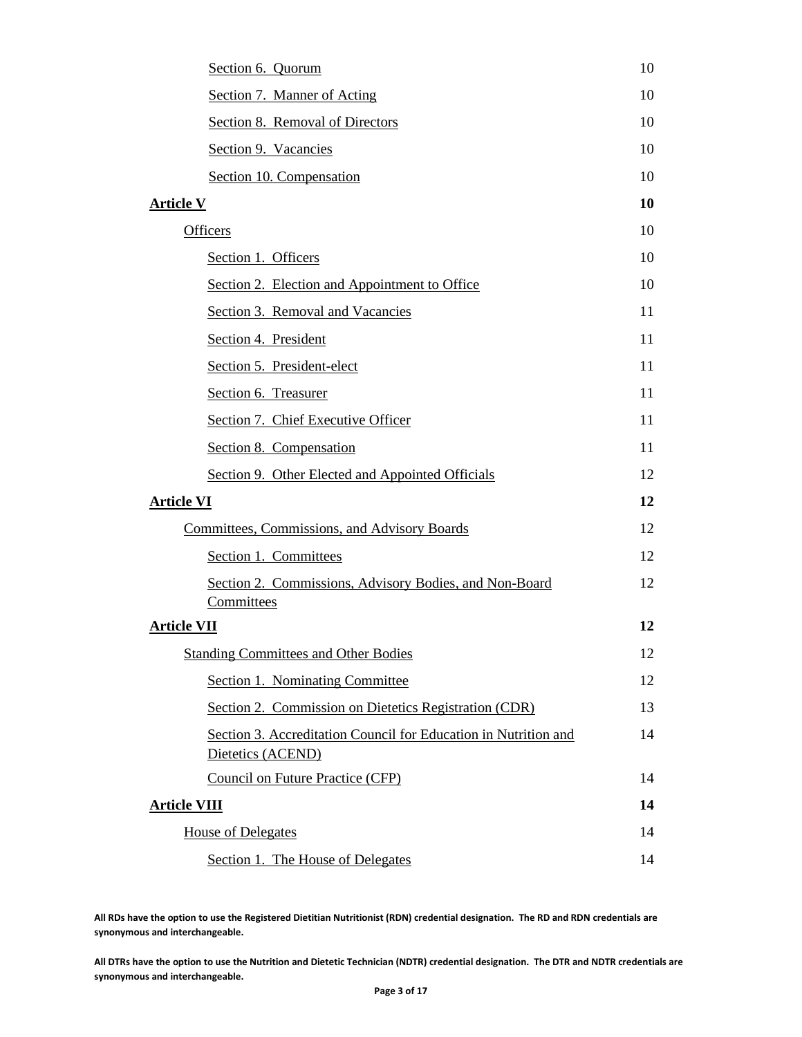| Section 6. Quorum                                                                    | 10 |  |  |  |
|--------------------------------------------------------------------------------------|----|--|--|--|
| Section 7. Manner of Acting                                                          |    |  |  |  |
| Section 8. Removal of Directors                                                      | 10 |  |  |  |
| Section 9. Vacancies                                                                 | 10 |  |  |  |
| Section 10. Compensation                                                             | 10 |  |  |  |
| <b>Article V</b>                                                                     | 10 |  |  |  |
| <b>Officers</b>                                                                      | 10 |  |  |  |
| Section 1. Officers                                                                  | 10 |  |  |  |
| Section 2. Election and Appointment to Office                                        | 10 |  |  |  |
| Section 3. Removal and Vacancies                                                     | 11 |  |  |  |
| Section 4. President                                                                 | 11 |  |  |  |
| Section 5. President-elect                                                           | 11 |  |  |  |
| Section 6. Treasurer                                                                 | 11 |  |  |  |
| Section 7. Chief Executive Officer                                                   | 11 |  |  |  |
| Section 8. Compensation                                                              | 11 |  |  |  |
| Section 9. Other Elected and Appointed Officials                                     | 12 |  |  |  |
| <b>Article VI</b>                                                                    | 12 |  |  |  |
| <b>Committees, Commissions, and Advisory Boards</b>                                  | 12 |  |  |  |
| Section 1. Committees                                                                | 12 |  |  |  |
| Section 2. Commissions, Advisory Bodies, and Non-Board<br>Committees                 | 12 |  |  |  |
| <b>Article VII</b>                                                                   | 12 |  |  |  |
| <b>Standing Committees and Other Bodies</b>                                          | 12 |  |  |  |
| Section 1. Nominating Committee                                                      | 12 |  |  |  |
| Section 2. Commission on Dietetics Registration (CDR)                                | 13 |  |  |  |
| Section 3. Accreditation Council for Education in Nutrition and<br>Dietetics (ACEND) | 14 |  |  |  |
| <b>Council on Future Practice (CFP)</b>                                              | 14 |  |  |  |
| <b>Article VIII</b>                                                                  | 14 |  |  |  |
| <b>House of Delegates</b>                                                            | 14 |  |  |  |
| Section 1. The House of Delegates                                                    | 14 |  |  |  |

**All RDs have the option to use the Registered Dietitian Nutritionist (RDN) credential designation. The RD and RDN credentials are synonymous and interchangeable.**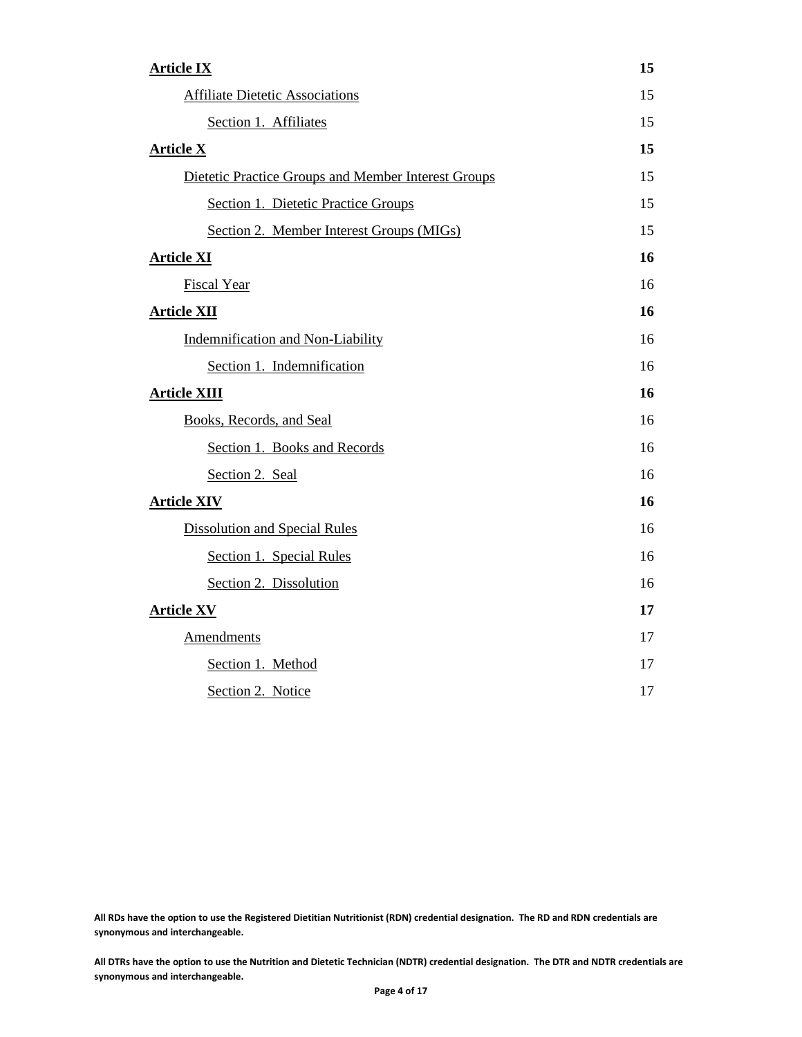| <b>Article IX</b>                                   | 15 |  |
|-----------------------------------------------------|----|--|
| <b>Affiliate Dietetic Associations</b>              |    |  |
| Section 1. Affiliates                               | 15 |  |
| <b>Article X</b>                                    | 15 |  |
| Dietetic Practice Groups and Member Interest Groups | 15 |  |
| Section 1. Dietetic Practice Groups                 | 15 |  |
| Section 2. Member Interest Groups (MIGs)            | 15 |  |
| <b>Article XI</b>                                   | 16 |  |
| <b>Fiscal Year</b>                                  | 16 |  |
| <b>Article XII</b>                                  | 16 |  |
| Indemnification and Non-Liability                   | 16 |  |
| Section 1. Indemnification                          | 16 |  |
| <b>Article XIII</b>                                 | 16 |  |
| Books, Records, and Seal                            | 16 |  |
| Section 1. Books and Records                        | 16 |  |
| Section 2. Seal                                     | 16 |  |
| <b>Article XIV</b>                                  | 16 |  |
| <b>Dissolution and Special Rules</b>                | 16 |  |
| Section 1. Special Rules                            | 16 |  |
| Section 2. Dissolution                              | 16 |  |
| <b>Article XV</b>                                   | 17 |  |
| <b>Amendments</b>                                   | 17 |  |
| Section 1. Method                                   | 17 |  |
| Section 2. Notice                                   | 17 |  |

**All RDs have the option to use the Registered Dietitian Nutritionist (RDN) credential designation. The RD and RDN credentials are synonymous and interchangeable.**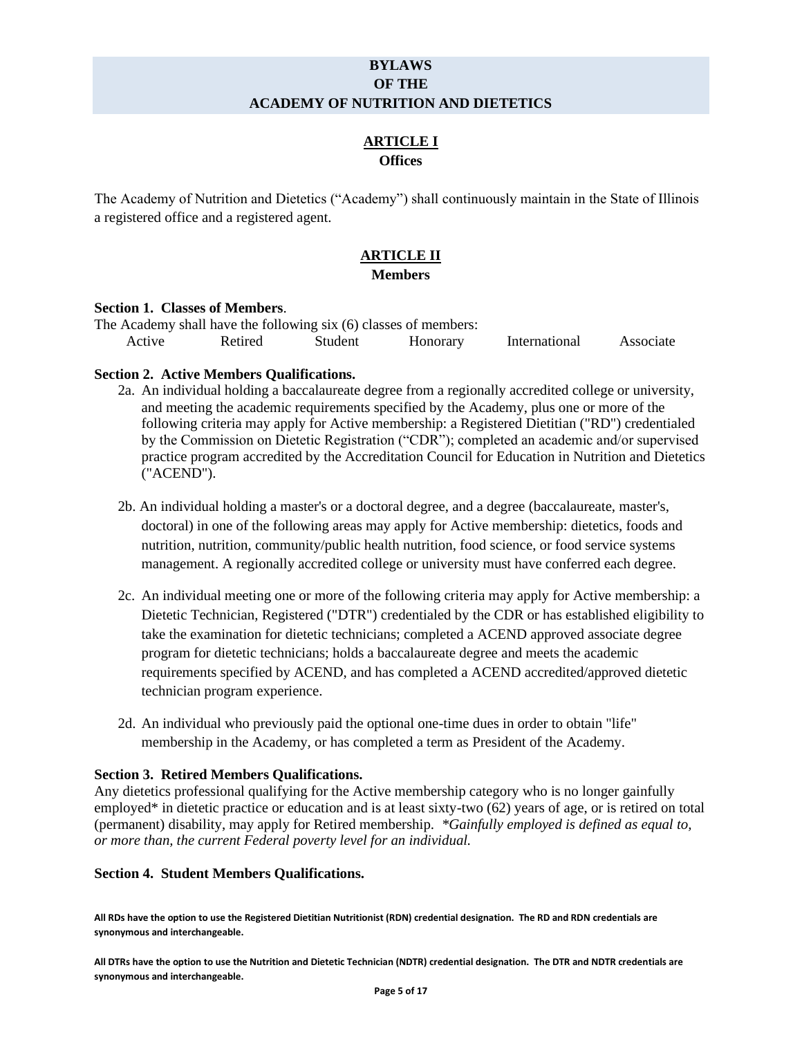# **BYLAWS OF THE ACADEMY OF NUTRITION AND DIETETICS**

# **ARTICLE I Offices**

<span id="page-4-1"></span><span id="page-4-0"></span>The Academy of Nutrition and Dietetics ("Academy") shall continuously maintain in the State of Illinois a registered office and a registered agent.

# **ARTICLE II**

# **Members**

## <span id="page-4-4"></span><span id="page-4-3"></span><span id="page-4-2"></span>**Section 1. Classes of Members**.

| The Academy shall have the following six (6) classes of members: |         |         |          |               |           |  |
|------------------------------------------------------------------|---------|---------|----------|---------------|-----------|--|
| Active                                                           | Retired | Student | Honorary | International | Associate |  |

# <span id="page-4-5"></span>**Section 2. Active Members Qualifications.**

- 2a. An individual holding a baccalaureate degree from a regionally accredited college or university, and meeting the academic requirements specified by the Academy, plus one or more of the following criteria may apply for Active membership: a Registered Dietitian ("RD") credentialed by the Commission on Dietetic Registration ("CDR"); completed an academic and/or supervised practice program accredited by the Accreditation Council for Education in Nutrition and Dietetics ("ACEND").
- 2b. An individual holding a master's or a doctoral degree, and a degree (baccalaureate, master's, doctoral) in one of the following areas may apply for Active membership: dietetics, foods and nutrition, nutrition, community/public health nutrition, food science, or food service systems management. A regionally accredited college or university must have conferred each degree.
- 2c. An individual meeting one or more of the following criteria may apply for Active membership: a Dietetic Technician, Registered ("DTR") credentialed by the CDR or has established eligibility to take the examination for dietetic technicians; completed a ACEND approved associate degree program for dietetic technicians; holds a baccalaureate degree and meets the academic requirements specified by ACEND, and has completed a ACEND accredited/approved dietetic technician program experience.
- 2d. An individual who previously paid the optional one-time dues in order to obtain "life" membership in the Academy, or has completed a term as President of the Academy.

## <span id="page-4-6"></span>**Section 3. Retired Members Qualifications.**

Any dietetics professional qualifying for the Active membership category who is no longer gainfully employed\* in dietetic practice or education and is at least sixty-two (62) years of age, or is retired on total (permanent) disability, may apply for Retired membership. *\*Gainfully employed is defined as equal to, or more than, the current Federal poverty level for an individual.* 

## <span id="page-4-7"></span>**Section 4. Student Members Qualifications.**

**All RDs have the option to use the Registered Dietitian Nutritionist (RDN) credential designation. The RD and RDN credentials are synonymous and interchangeable.**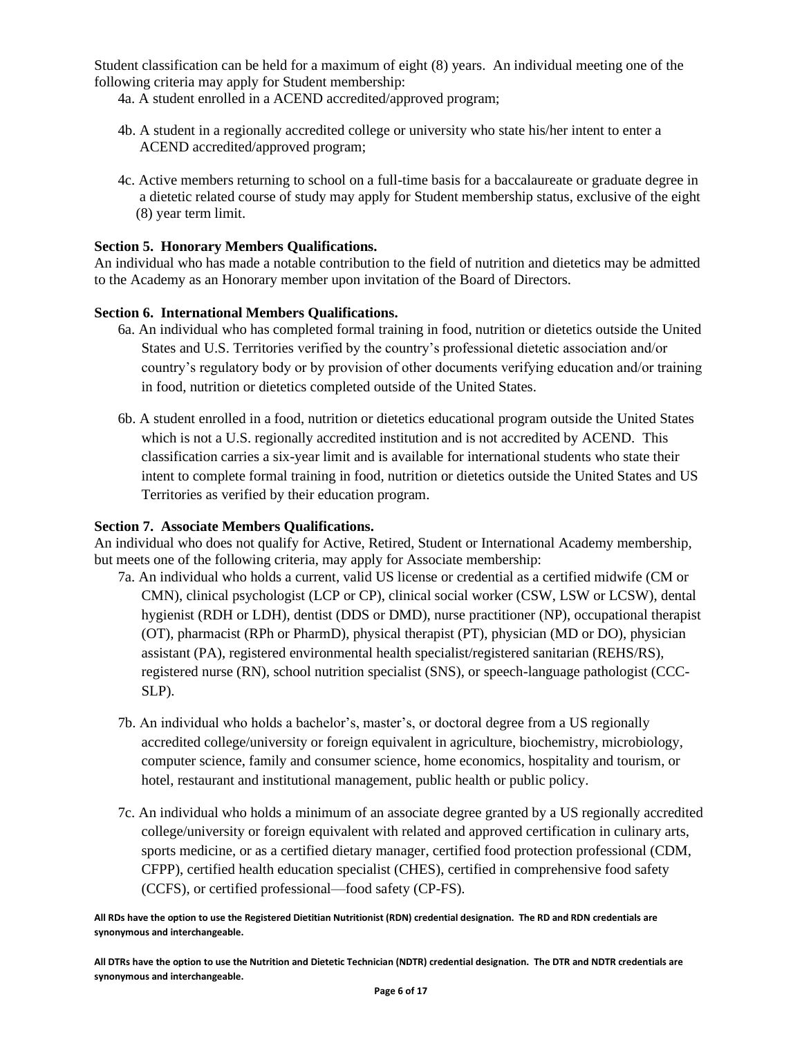Student classification can be held for a maximum of eight (8) years. An individual meeting one of the following criteria may apply for Student membership:

4a. A student enrolled in a ACEND accredited/approved program;

- 4b. A student in a regionally accredited college or university who state his/her intent to enter a ACEND accredited/approved program;
- 4c. Active members returning to school on a full-time basis for a baccalaureate or graduate degree in a dietetic related course of study may apply for Student membership status, exclusive of the eight (8) year term limit.

## <span id="page-5-0"></span>**Section 5. Honorary Members Qualifications.**

An individual who has made a notable contribution to the field of nutrition and dietetics may be admitted to the Academy as an Honorary member upon invitation of the Board of Directors.

#### <span id="page-5-1"></span>**Section 6. International Members Qualifications.**

- 6a. An individual who has completed formal training in food, nutrition or dietetics outside the United States and U.S. Territories verified by the country's professional dietetic association and/or country's regulatory body or by provision of other documents verifying education and/or training in food, nutrition or dietetics completed outside of the United States.
- 6b. A student enrolled in a food, nutrition or dietetics educational program outside the United States which is not a U.S. regionally accredited institution and is not accredited by ACEND. This classification carries a six-year limit and is available for international students who state their intent to complete formal training in food, nutrition or dietetics outside the United States and US Territories as verified by their education program.

# <span id="page-5-2"></span>**Section 7. Associate Members Qualifications.**

An individual who does not qualify for Active, Retired, Student or International Academy membership, but meets one of the following criteria, may apply for Associate membership:

- 7a. An individual who holds a current, valid US license or credential as a certified midwife (CM or CMN), clinical psychologist (LCP or CP), clinical social worker (CSW, LSW or LCSW), dental hygienist (RDH or LDH), dentist (DDS or DMD), nurse practitioner (NP), occupational therapist (OT), pharmacist (RPh or PharmD), physical therapist (PT), physician (MD or DO), physician assistant (PA), registered environmental health specialist/registered sanitarian (REHS/RS), registered nurse (RN), school nutrition specialist (SNS), or speech-language pathologist (CCC-SLP).
- 7b. An individual who holds a bachelor's, master's, or doctoral degree from a US regionally accredited college/university or foreign equivalent in agriculture, biochemistry, microbiology, computer science, family and consumer science, home economics, hospitality and tourism, or hotel, restaurant and institutional management, public health or public policy.
- 7c. An individual who holds a minimum of an associate degree granted by a US regionally accredited college/university or foreign equivalent with related and approved certification in culinary arts, sports medicine, or as a certified dietary manager, certified food protection professional (CDM, CFPP), certified health education specialist (CHES), certified in comprehensive food safety (CCFS), or certified professional—food safety (CP-FS).

**All RDs have the option to use the Registered Dietitian Nutritionist (RDN) credential designation. The RD and RDN credentials are synonymous and interchangeable.**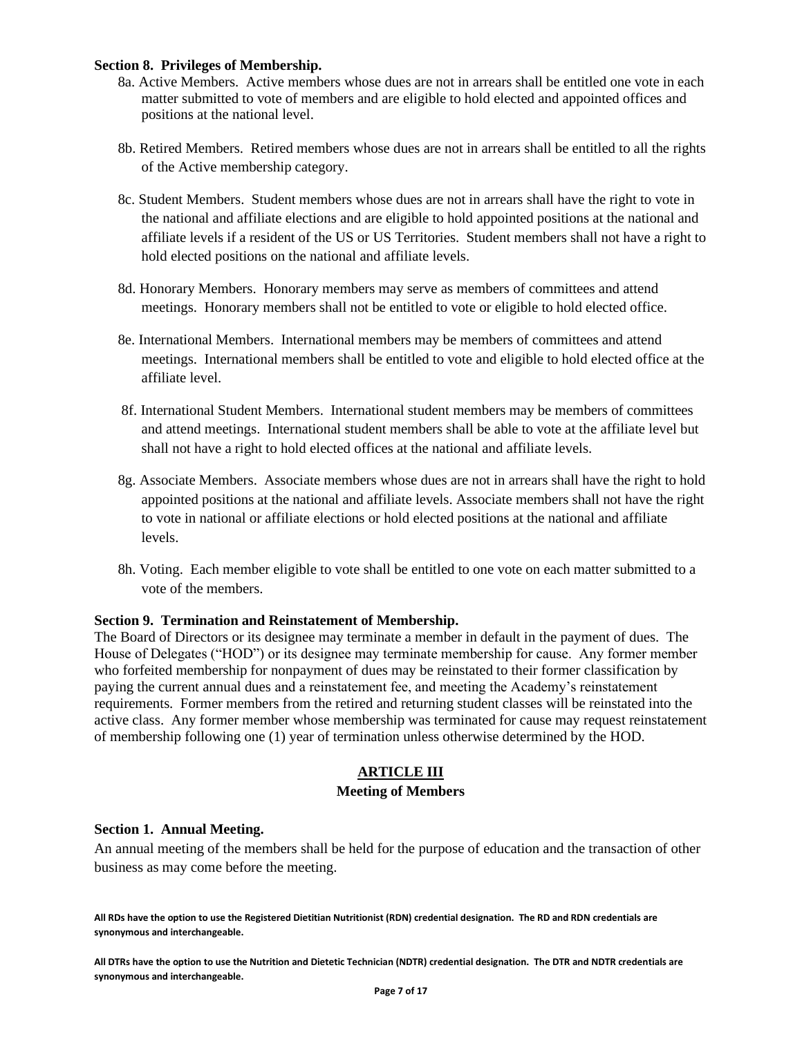#### <span id="page-6-0"></span>**Section 8. Privileges of Membership.**

- 8a. Active Members. Active members whose dues are not in arrears shall be entitled one vote in each matter submitted to vote of members and are eligible to hold elected and appointed offices and positions at the national level.
- 8b. Retired Members. Retired members whose dues are not in arrears shall be entitled to all the rights of the Active membership category.
- 8c. Student Members. Student members whose dues are not in arrears shall have the right to vote in the national and affiliate elections and are eligible to hold appointed positions at the national and affiliate levels if a resident of the US or US Territories. Student members shall not have a right to hold elected positions on the national and affiliate levels.
- 8d. Honorary Members. Honorary members may serve as members of committees and attend meetings. Honorary members shall not be entitled to vote or eligible to hold elected office.
- 8e. International Members. International members may be members of committees and attend meetings. International members shall be entitled to vote and eligible to hold elected office at the affiliate level.
- 8f. International Student Members. International student members may be members of committees and attend meetings. International student members shall be able to vote at the affiliate level but shall not have a right to hold elected offices at the national and affiliate levels.
- 8g. Associate Members. Associate members whose dues are not in arrears shall have the right to hold appointed positions at the national and affiliate levels. Associate members shall not have the right to vote in national or affiliate elections or hold elected positions at the national and affiliate levels.
- 8h. Voting. Each member eligible to vote shall be entitled to one vote on each matter submitted to a vote of the members.

#### <span id="page-6-1"></span>**Section 9. Termination and Reinstatement of Membership.**

The Board of Directors or its designee may terminate a member in default in the payment of dues. The House of Delegates ("HOD") or its designee may terminate membership for cause. Any former member who forfeited membership for nonpayment of dues may be reinstated to their former classification by paying the current annual dues and a reinstatement fee, and meeting the Academy's reinstatement requirements. Former members from the retired and returning student classes will be reinstated into the active class. Any former member whose membership was terminated for cause may request reinstatement of membership following one (1) year of termination unless otherwise determined by the HOD.

## **ARTICLE III**

#### **Meeting of Members**

#### <span id="page-6-4"></span><span id="page-6-3"></span><span id="page-6-2"></span>**Section 1. Annual Meeting.**

An annual meeting of the members shall be held for the purpose of education and the transaction of other business as may come before the meeting.

**All RDs have the option to use the Registered Dietitian Nutritionist (RDN) credential designation. The RD and RDN credentials are synonymous and interchangeable.**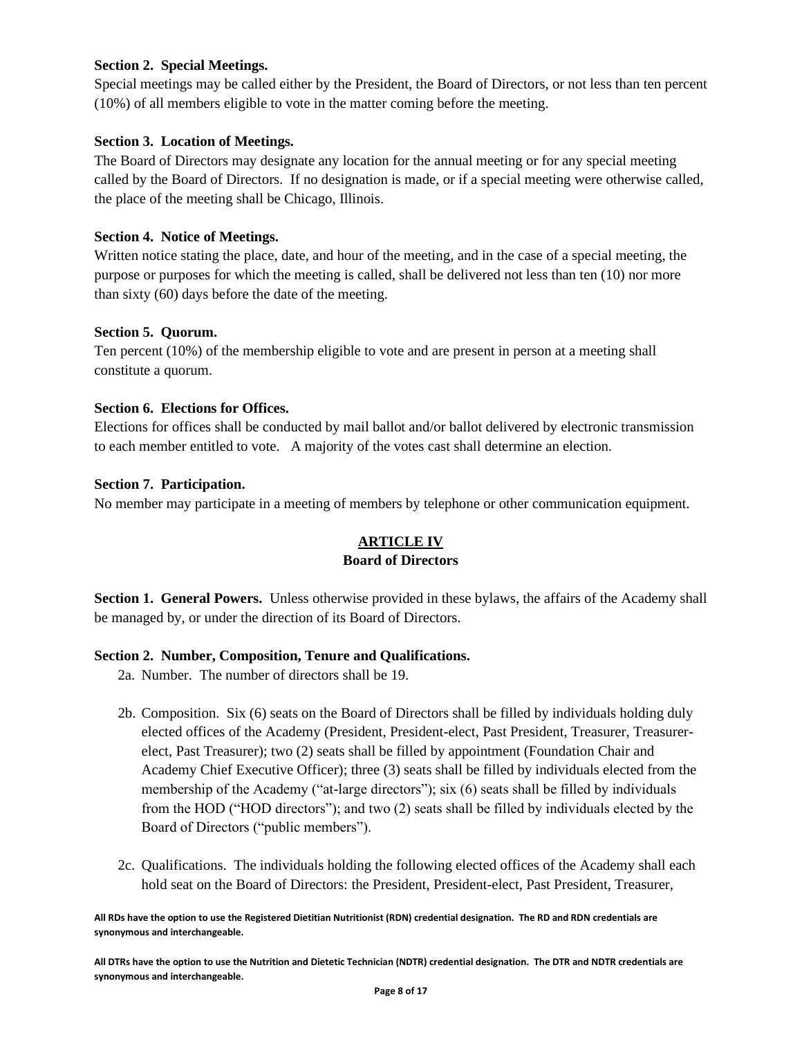# <span id="page-7-0"></span>**Section 2. Special Meetings.**

Special meetings may be called either by the President, the Board of Directors, or not less than ten percent (10%) of all members eligible to vote in the matter coming before the meeting.

# <span id="page-7-1"></span>**Section 3. Location of Meetings.**

The Board of Directors may designate any location for the annual meeting or for any special meeting called by the Board of Directors. If no designation is made, or if a special meeting were otherwise called, the place of the meeting shall be Chicago, Illinois.

## <span id="page-7-2"></span>**Section 4. Notice of Meetings.**

Written notice stating the place, date, and hour of the meeting, and in the case of a special meeting, the purpose or purposes for which the meeting is called, shall be delivered not less than ten (10) nor more than sixty (60) days before the date of the meeting.

## <span id="page-7-3"></span>**Section 5. Quorum.**

Ten percent (10%) of the membership eligible to vote and are present in person at a meeting shall constitute a quorum.

## <span id="page-7-4"></span>**Section 6. Elections for Offices.**

Elections for offices shall be conducted by mail ballot and/or ballot delivered by electronic transmission to each member entitled to vote. A majority of the votes cast shall determine an election.

## <span id="page-7-5"></span>**Section 7. Participation.**

<span id="page-7-6"></span>No member may participate in a meeting of members by telephone or other communication equipment.

# **ARTICLE IV Board of Directors**

<span id="page-7-8"></span><span id="page-7-7"></span>**Section 1. General Powers.** Unless otherwise provided in these bylaws, the affairs of the Academy shall be managed by, or under the direction of its Board of Directors.

## <span id="page-7-9"></span>**Section 2. Number, Composition, Tenure and Qualifications.**

2a. Number. The number of directors shall be 19.

- 2b. Composition. Six (6) seats on the Board of Directors shall be filled by individuals holding duly elected offices of the Academy (President, President-elect, Past President, Treasurer, Treasurerelect, Past Treasurer); two (2) seats shall be filled by appointment (Foundation Chair and Academy Chief Executive Officer); three (3) seats shall be filled by individuals elected from the membership of the Academy ("at-large directors"); six (6) seats shall be filled by individuals from the HOD ("HOD directors"); and two (2) seats shall be filled by individuals elected by the Board of Directors ("public members").
- 2c. Qualifications. The individuals holding the following elected offices of the Academy shall each hold seat on the Board of Directors: the President, President-elect, Past President, Treasurer,

**All RDs have the option to use the Registered Dietitian Nutritionist (RDN) credential designation. The RD and RDN credentials are synonymous and interchangeable.**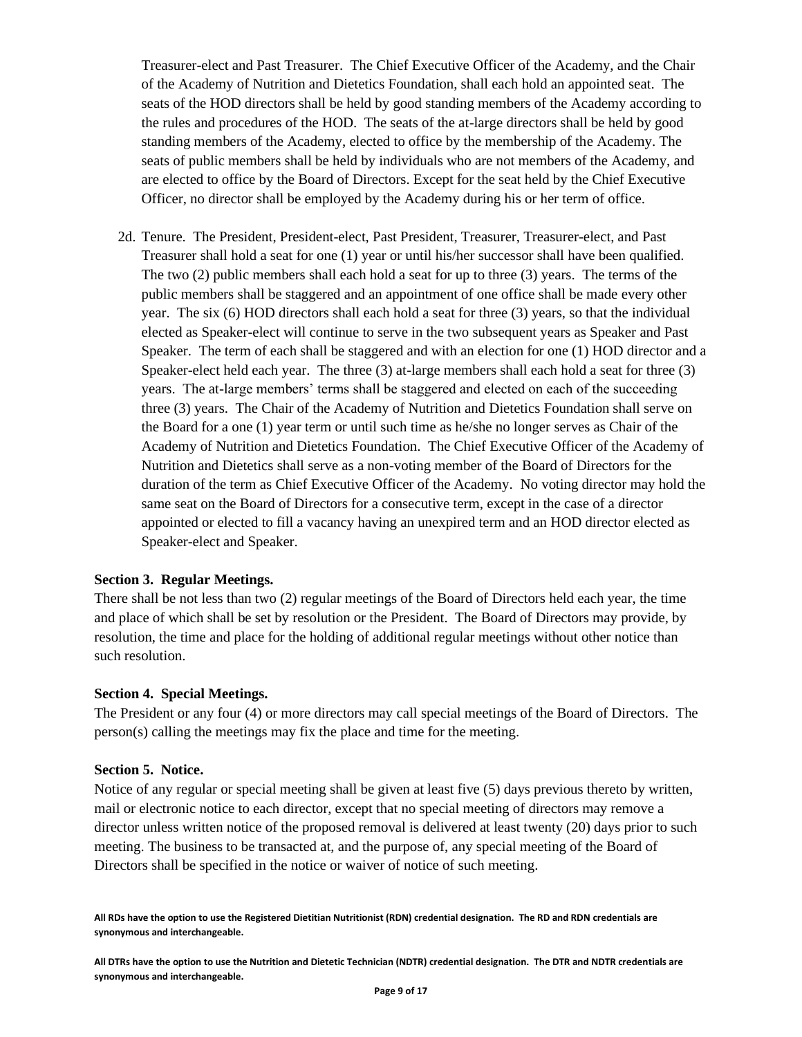Treasurer-elect and Past Treasurer. The Chief Executive Officer of the Academy, and the Chair of the Academy of Nutrition and Dietetics Foundation, shall each hold an appointed seat. The seats of the HOD directors shall be held by good standing members of the Academy according to the rules and procedures of the HOD. The seats of the at-large directors shall be held by good standing members of the Academy, elected to office by the membership of the Academy. The seats of public members shall be held by individuals who are not members of the Academy, and are elected to office by the Board of Directors. Except for the seat held by the Chief Executive Officer, no director shall be employed by the Academy during his or her term of office.

2d. Tenure. The President, President-elect, Past President, Treasurer, Treasurer-elect, and Past Treasurer shall hold a seat for one (1) year or until his/her successor shall have been qualified. The two (2) public members shall each hold a seat for up to three (3) years. The terms of the public members shall be staggered and an appointment of one office shall be made every other year. The six (6) HOD directors shall each hold a seat for three (3) years, so that the individual elected as Speaker-elect will continue to serve in the two subsequent years as Speaker and Past Speaker. The term of each shall be staggered and with an election for one (1) HOD director and a Speaker-elect held each year. The three (3) at-large members shall each hold a seat for three (3) years. The at-large members' terms shall be staggered and elected on each of the succeeding three (3) years. The Chair of the Academy of Nutrition and Dietetics Foundation shall serve on the Board for a one (1) year term or until such time as he/she no longer serves as Chair of the Academy of Nutrition and Dietetics Foundation. The Chief Executive Officer of the Academy of Nutrition and Dietetics shall serve as a non-voting member of the Board of Directors for the duration of the term as Chief Executive Officer of the Academy. No voting director may hold the same seat on the Board of Directors for a consecutive term, except in the case of a director appointed or elected to fill a vacancy having an unexpired term and an HOD director elected as Speaker-elect and Speaker.

#### <span id="page-8-0"></span>**Section 3. Regular Meetings.**

There shall be not less than two (2) regular meetings of the Board of Directors held each year, the time and place of which shall be set by resolution or the President. The Board of Directors may provide, by resolution, the time and place for the holding of additional regular meetings without other notice than such resolution.

## <span id="page-8-1"></span>**Section 4. Special Meetings.**

The President or any four (4) or more directors may call special meetings of the Board of Directors. The person(s) calling the meetings may fix the place and time for the meeting.

#### <span id="page-8-2"></span>**Section 5. Notice.**

Notice of any regular or special meeting shall be given at least five (5) days previous thereto by written, mail or electronic notice to each director, except that no special meeting of directors may remove a director unless written notice of the proposed removal is delivered at least twenty (20) days prior to such meeting. The business to be transacted at, and the purpose of, any special meeting of the Board of Directors shall be specified in the notice or waiver of notice of such meeting.

**All RDs have the option to use the Registered Dietitian Nutritionist (RDN) credential designation. The RD and RDN credentials are synonymous and interchangeable.**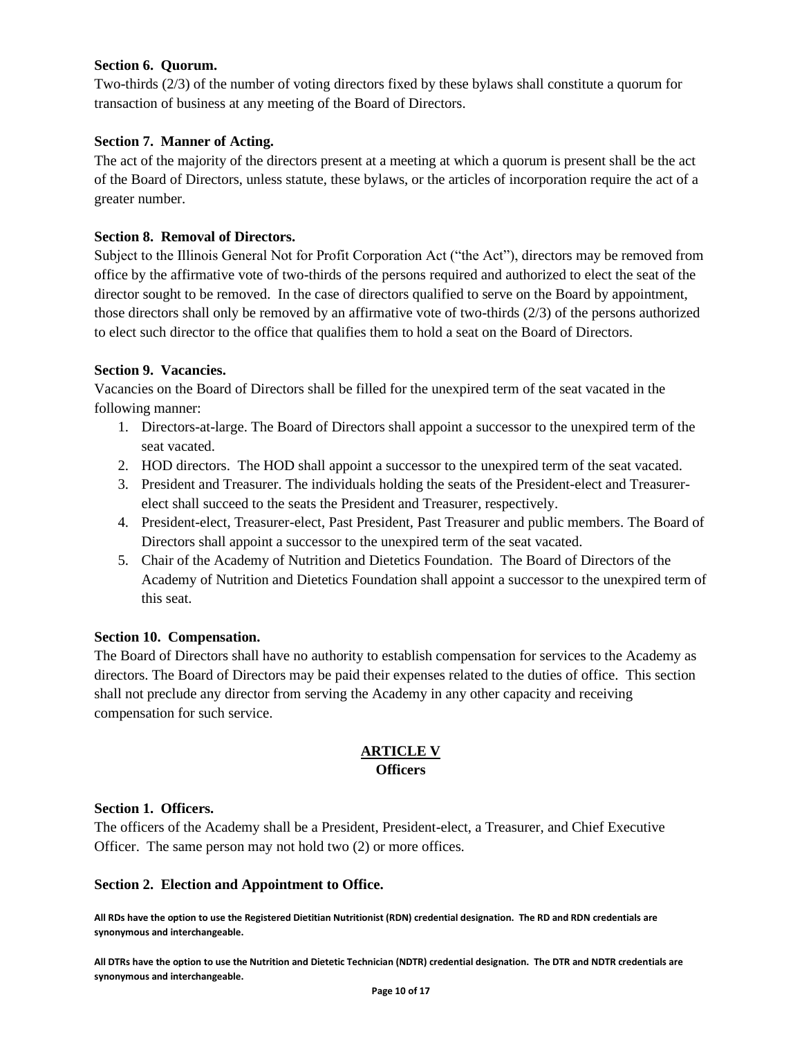## <span id="page-9-0"></span>**Section 6. Quorum.**

Two-thirds (2/3) of the number of voting directors fixed by these bylaws shall constitute a quorum for transaction of business at any meeting of the Board of Directors.

# <span id="page-9-1"></span>**Section 7. Manner of Acting.**

The act of the majority of the directors present at a meeting at which a quorum is present shall be the act of the Board of Directors, unless statute, these bylaws, or the articles of incorporation require the act of a greater number.

# <span id="page-9-2"></span>**Section 8. Removal of Directors.**

Subject to the Illinois General Not for Profit Corporation Act ("the Act"), directors may be removed from office by the affirmative vote of two-thirds of the persons required and authorized to elect the seat of the director sought to be removed. In the case of directors qualified to serve on the Board by appointment, those directors shall only be removed by an affirmative vote of two-thirds (2/3) of the persons authorized to elect such director to the office that qualifies them to hold a seat on the Board of Directors.

# <span id="page-9-3"></span>**Section 9. Vacancies.**

Vacancies on the Board of Directors shall be filled for the unexpired term of the seat vacated in the following manner:

- 1. Directors-at-large. The Board of Directors shall appoint a successor to the unexpired term of the seat vacated.
- 2. HOD directors. The HOD shall appoint a successor to the unexpired term of the seat vacated.
- 3. President and Treasurer. The individuals holding the seats of the President-elect and Treasurerelect shall succeed to the seats the President and Treasurer, respectively.
- 4. President-elect, Treasurer-elect, Past President, Past Treasurer and public members. The Board of Directors shall appoint a successor to the unexpired term of the seat vacated.
- 5. Chair of the Academy of Nutrition and Dietetics Foundation. The Board of Directors of the Academy of Nutrition and Dietetics Foundation shall appoint a successor to the unexpired term of this seat.

## <span id="page-9-4"></span>**Section 10. Compensation.**

The Board of Directors shall have no authority to establish compensation for services to the Academy as directors. The Board of Directors may be paid their expenses related to the duties of office. This section shall not preclude any director from serving the Academy in any other capacity and receiving compensation for such service.

# **ARTICLE V Officers**

# <span id="page-9-7"></span><span id="page-9-6"></span><span id="page-9-5"></span>**Section 1. Officers.**

The officers of the Academy shall be a President, President-elect, a Treasurer, and Chief Executive Officer. The same person may not hold two (2) or more offices.

## <span id="page-9-8"></span>**Section 2. Election and Appointment to Office.**

**All RDs have the option to use the Registered Dietitian Nutritionist (RDN) credential designation. The RD and RDN credentials are synonymous and interchangeable.**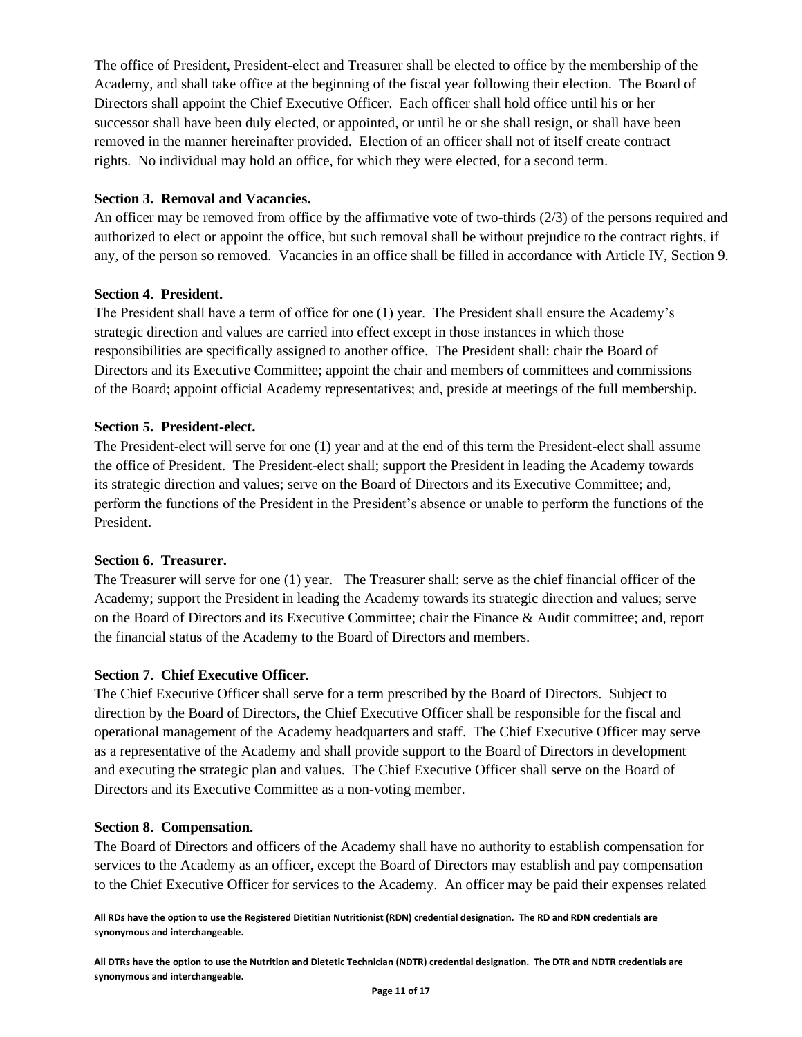The office of President, President-elect and Treasurer shall be elected to office by the membership of the Academy, and shall take office at the beginning of the fiscal year following their election. The Board of Directors shall appoint the Chief Executive Officer. Each officer shall hold office until his or her successor shall have been duly elected, or appointed, or until he or she shall resign, or shall have been removed in the manner hereinafter provided. Election of an officer shall not of itself create contract rights. No individual may hold an office, for which they were elected, for a second term.

## <span id="page-10-0"></span>**Section 3. Removal and Vacancies.**

An officer may be removed from office by the affirmative vote of two-thirds (2/3) of the persons required and authorized to elect or appoint the office, but such removal shall be without prejudice to the contract rights, if any, of the person so removed. Vacancies in an office shall be filled in accordance with Article IV, Section 9.

## <span id="page-10-1"></span>**Section 4. President.**

The President shall have a term of office for one (1) year. The President shall ensure the Academy's strategic direction and values are carried into effect except in those instances in which those responsibilities are specifically assigned to another office. The President shall: chair the Board of Directors and its Executive Committee; appoint the chair and members of committees and commissions of the Board; appoint official Academy representatives; and, preside at meetings of the full membership.

## <span id="page-10-2"></span>**Section 5. President-elect.**

The President-elect will serve for one (1) year and at the end of this term the President-elect shall assume the office of President. The President-elect shall; support the President in leading the Academy towards its strategic direction and values; serve on the Board of Directors and its Executive Committee; and, perform the functions of the President in the President's absence or unable to perform the functions of the President.

## <span id="page-10-3"></span>**Section 6. Treasurer.**

The Treasurer will serve for one (1) year. The Treasurer shall: serve as the chief financial officer of the Academy; support the President in leading the Academy towards its strategic direction and values; serve on the Board of Directors and its Executive Committee; chair the Finance & Audit committee; and, report the financial status of the Academy to the Board of Directors and members.

## <span id="page-10-4"></span>**Section 7. Chief Executive Officer.**

The Chief Executive Officer shall serve for a term prescribed by the Board of Directors. Subject to direction by the Board of Directors, the Chief Executive Officer shall be responsible for the fiscal and operational management of the Academy headquarters and staff. The Chief Executive Officer may serve as a representative of the Academy and shall provide support to the Board of Directors in development and executing the strategic plan and values. The Chief Executive Officer shall serve on the Board of Directors and its Executive Committee as a non-voting member.

## <span id="page-10-5"></span>**Section 8. Compensation.**

The Board of Directors and officers of the Academy shall have no authority to establish compensation for services to the Academy as an officer, except the Board of Directors may establish and pay compensation to the Chief Executive Officer for services to the Academy. An officer may be paid their expenses related

**All RDs have the option to use the Registered Dietitian Nutritionist (RDN) credential designation. The RD and RDN credentials are synonymous and interchangeable.**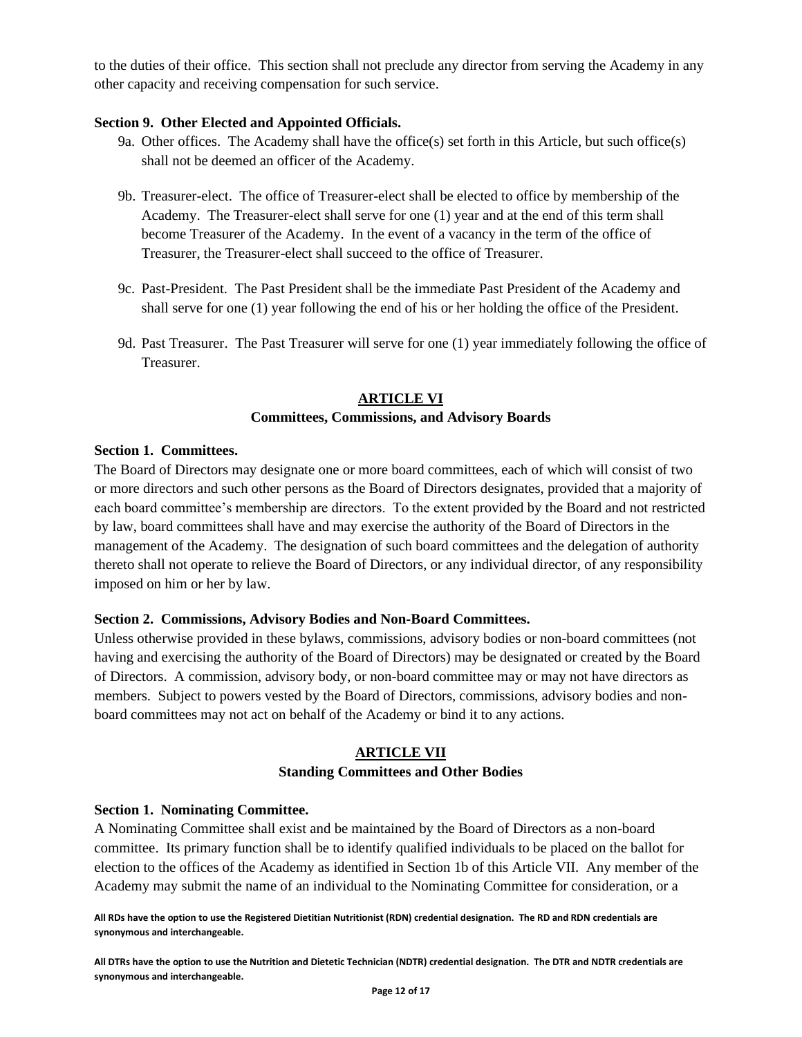to the duties of their office. This section shall not preclude any director from serving the Academy in any other capacity and receiving compensation for such service.

#### <span id="page-11-0"></span>**Section 9. Other Elected and Appointed Officials.**

- 9a. Other offices. The Academy shall have the office(s) set forth in this Article, but such office(s) shall not be deemed an officer of the Academy.
- 9b. Treasurer-elect. The office of Treasurer-elect shall be elected to office by membership of the Academy. The Treasurer-elect shall serve for one (1) year and at the end of this term shall become Treasurer of the Academy. In the event of a vacancy in the term of the office of Treasurer, the Treasurer-elect shall succeed to the office of Treasurer.
- 9c. Past-President. The Past President shall be the immediate Past President of the Academy and shall serve for one (1) year following the end of his or her holding the office of the President.
- 9d. Past Treasurer. The Past Treasurer will serve for one (1) year immediately following the office of Treasurer.

# **ARTICLE VI**

## **Committees, Commissions, and Advisory Boards**

#### <span id="page-11-3"></span><span id="page-11-2"></span><span id="page-11-1"></span>**Section 1. Committees.**

The Board of Directors may designate one or more board committees, each of which will consist of two or more directors and such other persons as the Board of Directors designates, provided that a majority of each board committee's membership are directors. To the extent provided by the Board and not restricted by law, board committees shall have and may exercise the authority of the Board of Directors in the management of the Academy. The designation of such board committees and the delegation of authority thereto shall not operate to relieve the Board of Directors, or any individual director, of any responsibility imposed on him or her by law.

## <span id="page-11-4"></span>**Section 2. Commissions, Advisory Bodies and Non-Board Committees.**

Unless otherwise provided in these bylaws, commissions, advisory bodies or non-board committees (not having and exercising the authority of the Board of Directors) may be designated or created by the Board of Directors. A commission, advisory body, or non-board committee may or may not have directors as members. Subject to powers vested by the Board of Directors, commissions, advisory bodies and nonboard committees may not act on behalf of the Academy or bind it to any actions.

# **ARTICLE VII**

#### **Standing Committees and Other Bodies**

## <span id="page-11-7"></span><span id="page-11-6"></span><span id="page-11-5"></span>**Section 1. Nominating Committee.**

A Nominating Committee shall exist and be maintained by the Board of Directors as a non-board committee. Its primary function shall be to identify qualified individuals to be placed on the ballot for election to the offices of the Academy as identified in Section 1b of this Article VII. Any member of the Academy may submit the name of an individual to the Nominating Committee for consideration, or a

**All RDs have the option to use the Registered Dietitian Nutritionist (RDN) credential designation. The RD and RDN credentials are synonymous and interchangeable.**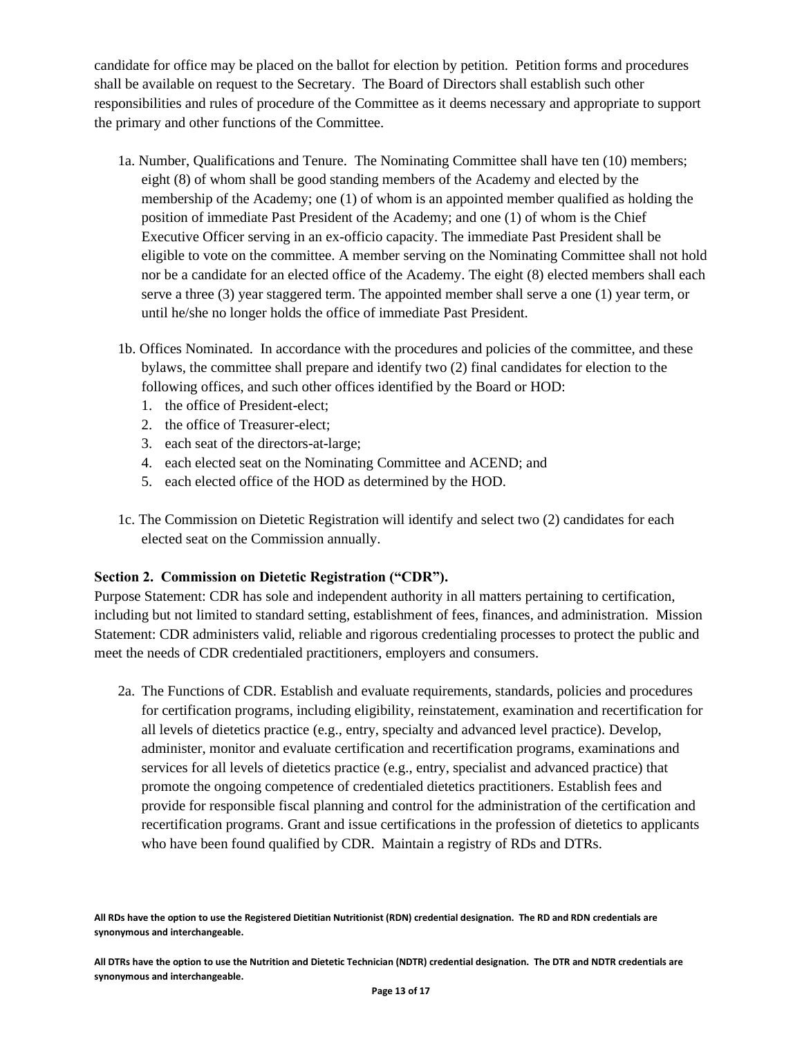candidate for office may be placed on the ballot for election by petition. Petition forms and procedures shall be available on request to the Secretary. The Board of Directors shall establish such other responsibilities and rules of procedure of the Committee as it deems necessary and appropriate to support the primary and other functions of the Committee.

- 1a. Number, Qualifications and Tenure. The Nominating Committee shall have ten (10) members; eight (8) of whom shall be good standing members of the Academy and elected by the membership of the Academy; one (1) of whom is an appointed member qualified as holding the position of immediate Past President of the Academy; and one (1) of whom is the Chief Executive Officer serving in an ex-officio capacity. The immediate Past President shall be eligible to vote on the committee. A member serving on the Nominating Committee shall not hold nor be a candidate for an elected office of the Academy. The eight (8) elected members shall each serve a three (3) year staggered term. The appointed member shall serve a one (1) year term, or until he/she no longer holds the office of immediate Past President.
- 1b. Offices Nominated. In accordance with the procedures and policies of the committee, and these bylaws, the committee shall prepare and identify two (2) final candidates for election to the following offices, and such other offices identified by the Board or HOD:
	- 1. the office of President-elect;
	- 2. the office of Treasurer-elect;
	- 3. each seat of the directors-at-large;
	- 4. each elected seat on the Nominating Committee and ACEND; and
	- 5. each elected office of the HOD as determined by the HOD.
- 1c. The Commission on Dietetic Registration will identify and select two (2) candidates for each elected seat on the Commission annually.

## <span id="page-12-0"></span>**Section 2. Commission on Dietetic Registration ("CDR").**

Purpose Statement: CDR has sole and independent authority in all matters pertaining to certification, including but not limited to standard setting, establishment of fees, finances, and administration. Mission Statement: CDR administers valid, reliable and rigorous credentialing processes to protect the public and meet the needs of CDR credentialed practitioners, employers and consumers.

2a. The Functions of CDR. Establish and evaluate requirements, standards, policies and procedures for certification programs, including eligibility, reinstatement, examination and recertification for all levels of dietetics practice (e.g., entry, specialty and advanced level practice). Develop, administer, monitor and evaluate certification and recertification programs, examinations and services for all levels of dietetics practice (e.g., entry, specialist and advanced practice) that promote the ongoing competence of credentialed dietetics practitioners. Establish fees and provide for responsible fiscal planning and control for the administration of the certification and recertification programs. Grant and issue certifications in the profession of dietetics to applicants who have been found qualified by CDR. Maintain a registry of RDs and DTRs.

**All RDs have the option to use the Registered Dietitian Nutritionist (RDN) credential designation. The RD and RDN credentials are synonymous and interchangeable.**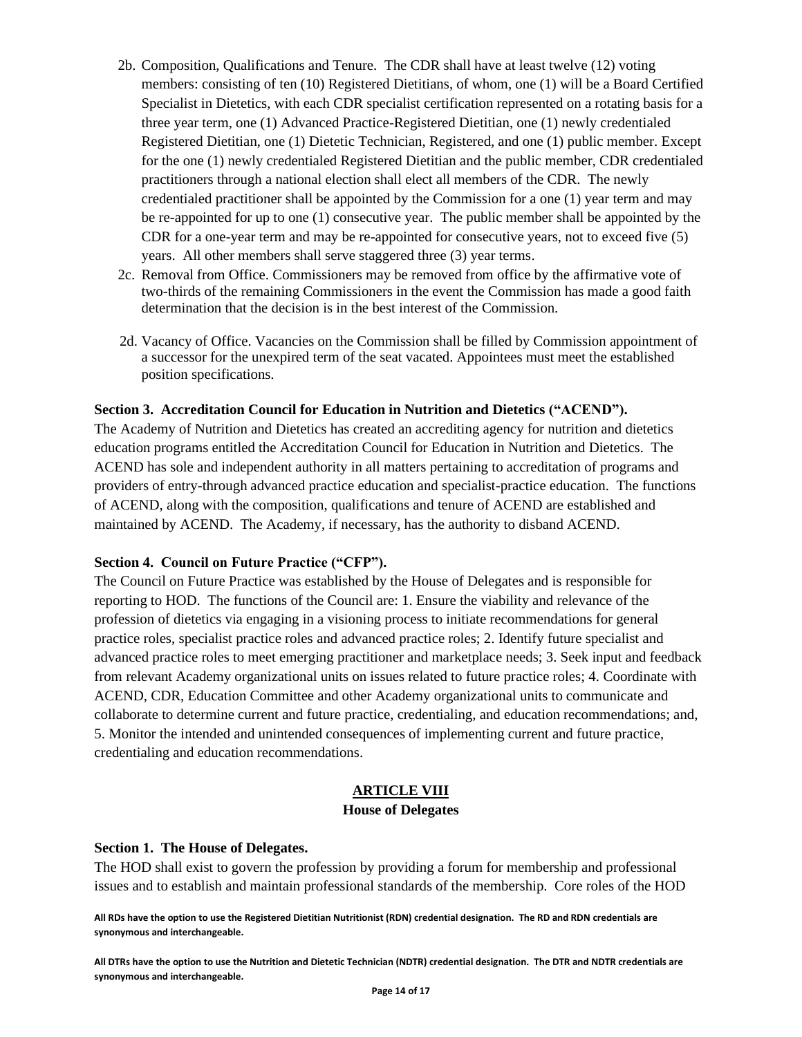- 2b. Composition, Qualifications and Tenure. The CDR shall have at least twelve (12) voting members: consisting of ten (10) Registered Dietitians, of whom, one (1) will be a Board Certified Specialist in Dietetics, with each CDR specialist certification represented on a rotating basis for a three year term, one (1) Advanced Practice-Registered Dietitian, one (1) newly credentialed Registered Dietitian, one (1) Dietetic Technician, Registered, and one (1) public member. Except for the one (1) newly credentialed Registered Dietitian and the public member, CDR credentialed practitioners through a national election shall elect all members of the CDR. The newly credentialed practitioner shall be appointed by the Commission for a one (1) year term and may be re-appointed for up to one (1) consecutive year. The public member shall be appointed by the CDR for a one-year term and may be re-appointed for consecutive years, not to exceed five (5) years. All other members shall serve staggered three (3) year terms.
- 2c. Removal from Office. Commissioners may be removed from office by the affirmative vote of two-thirds of the remaining Commissioners in the event the Commission has made a good faith determination that the decision is in the best interest of the Commission.
- 2d. Vacancy of Office. Vacancies on the Commission shall be filled by Commission appointment of a successor for the unexpired term of the seat vacated. Appointees must meet the established position specifications.

#### <span id="page-13-0"></span>**Section 3. Accreditation Council for Education in Nutrition and Dietetics ("ACEND").**

The Academy of Nutrition and Dietetics has created an accrediting agency for nutrition and dietetics education programs entitled the Accreditation Council for Education in Nutrition and Dietetics. The ACEND has sole and independent authority in all matters pertaining to accreditation of programs and providers of entry-through advanced practice education and specialist-practice education. The functions of ACEND, along with the composition, qualifications and tenure of ACEND are established and maintained by ACEND. The Academy, if necessary, has the authority to disband ACEND.

## <span id="page-13-1"></span>**Section 4. Council on Future Practice ("CFP").**

The Council on Future Practice was established by the House of Delegates and is responsible for reporting to HOD. The functions of the Council are: 1. Ensure the viability and relevance of the profession of dietetics via engaging in a visioning process to initiate recommendations for general practice roles, specialist practice roles and advanced practice roles; 2. Identify future specialist and advanced practice roles to meet emerging practitioner and marketplace needs; 3. Seek input and feedback from relevant Academy organizational units on issues related to future practice roles; 4. Coordinate with ACEND, CDR, Education Committee and other Academy organizational units to communicate and collaborate to determine current and future practice, credentialing, and education recommendations; and, 5. Monitor the intended and unintended consequences of implementing current and future practice, credentialing and education recommendations.

## **ARTICLE VIII**

#### **House of Delegates**

#### <span id="page-13-4"></span><span id="page-13-3"></span><span id="page-13-2"></span>**Section 1. The House of Delegates.**

The HOD shall exist to govern the profession by providing a forum for membership and professional issues and to establish and maintain professional standards of the membership. Core roles of the HOD

**All RDs have the option to use the Registered Dietitian Nutritionist (RDN) credential designation. The RD and RDN credentials are synonymous and interchangeable.**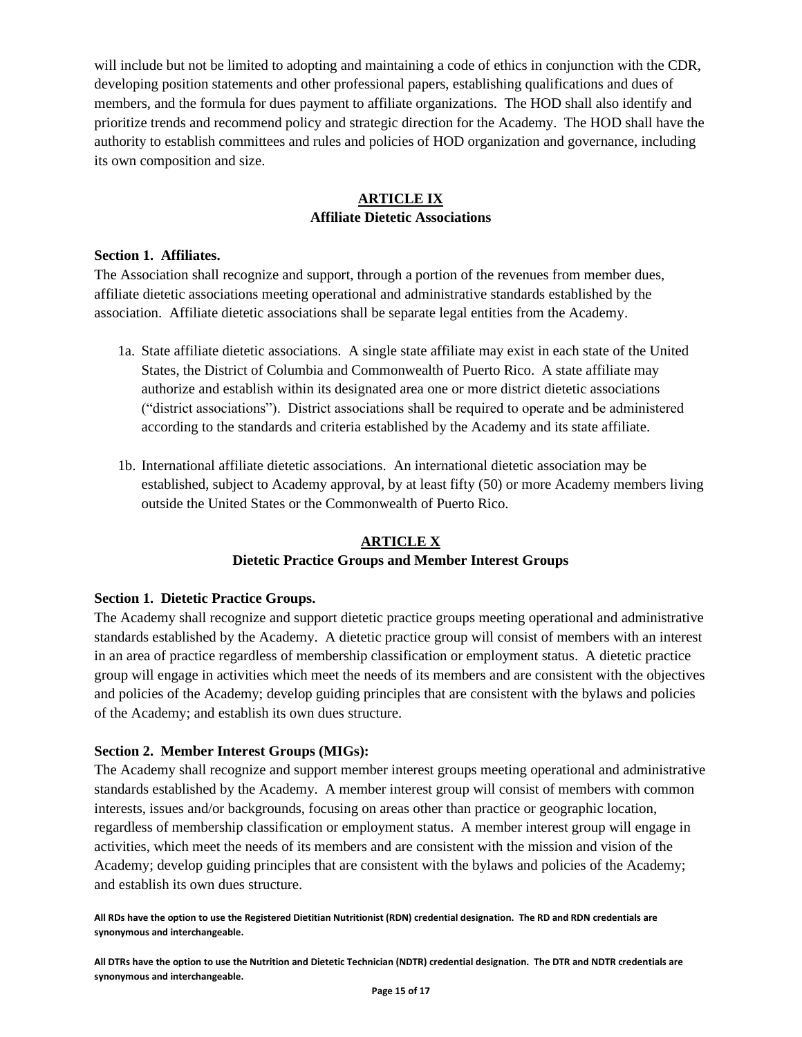will include but not be limited to adopting and maintaining a code of ethics in conjunction with the CDR, developing position statements and other professional papers, establishing qualifications and dues of members, and the formula for dues payment to affiliate organizations. The HOD shall also identify and prioritize trends and recommend policy and strategic direction for the Academy. The HOD shall have the authority to establish committees and rules and policies of HOD organization and governance, including its own composition and size.

# **ARTICLE IX Affiliate Dietetic Associations**

#### <span id="page-14-2"></span><span id="page-14-1"></span><span id="page-14-0"></span>**Section 1. Affiliates.**

The Association shall recognize and support, through a portion of the revenues from member dues, affiliate dietetic associations meeting operational and administrative standards established by the association. Affiliate dietetic associations shall be separate legal entities from the Academy.

- 1a. State affiliate dietetic associations. A single state affiliate may exist in each state of the United States, the District of Columbia and Commonwealth of Puerto Rico. A state affiliate may authorize and establish within its designated area one or more district dietetic associations ("district associations"). District associations shall be required to operate and be administered according to the standards and criteria established by the Academy and its state affiliate.
- 1b. International affiliate dietetic associations. An international dietetic association may be established, subject to Academy approval, by at least fifty (50) or more Academy members living outside the United States or the Commonwealth of Puerto Rico.

# **ARTICLE X**

## **Dietetic Practice Groups and Member Interest Groups**

## <span id="page-14-5"></span><span id="page-14-4"></span><span id="page-14-3"></span>**Section 1. Dietetic Practice Groups.**

The Academy shall recognize and support dietetic practice groups meeting operational and administrative standards established by the Academy. A dietetic practice group will consist of members with an interest in an area of practice regardless of membership classification or employment status. A dietetic practice group will engage in activities which meet the needs of its members and are consistent with the objectives and policies of the Academy; develop guiding principles that are consistent with the bylaws and policies of the Academy; and establish its own dues structure.

## <span id="page-14-6"></span>**Section 2. Member Interest Groups (MIGs):**

The Academy shall recognize and support member interest groups meeting operational and administrative standards established by the Academy. A member interest group will consist of members with common interests, issues and/or backgrounds, focusing on areas other than practice or geographic location, regardless of membership classification or employment status. A member interest group will engage in activities, which meet the needs of its members and are consistent with the mission and vision of the Academy; develop guiding principles that are consistent with the bylaws and policies of the Academy; and establish its own dues structure.

**All RDs have the option to use the Registered Dietitian Nutritionist (RDN) credential designation. The RD and RDN credentials are synonymous and interchangeable.**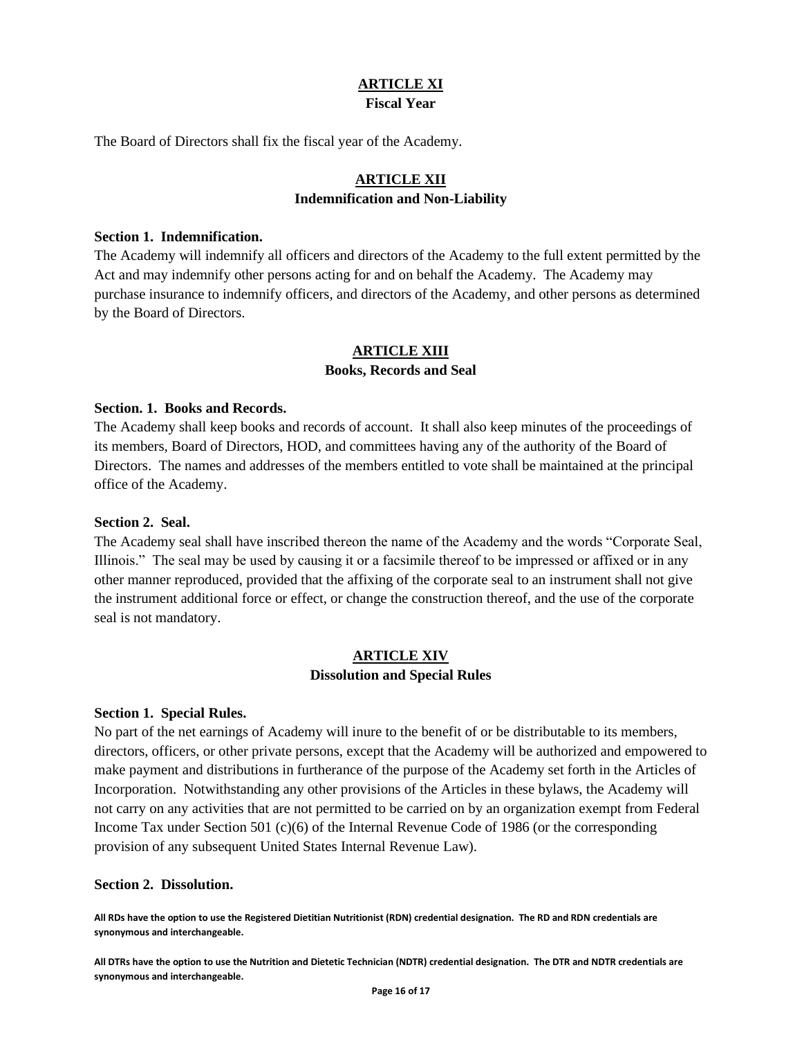#### **ARTICLE XI Fiscal Year**

<span id="page-15-2"></span><span id="page-15-1"></span><span id="page-15-0"></span>The Board of Directors shall fix the fiscal year of the Academy.

# **ARTICLE XII Indemnification and Non-Liability**

#### <span id="page-15-4"></span><span id="page-15-3"></span>**Section 1. Indemnification.**

The Academy will indemnify all officers and directors of the Academy to the full extent permitted by the Act and may indemnify other persons acting for and on behalf the Academy. The Academy may purchase insurance to indemnify officers, and directors of the Academy, and other persons as determined by the Board of Directors.

# **ARTICLE XIII Books, Records and Seal**

#### <span id="page-15-7"></span><span id="page-15-6"></span><span id="page-15-5"></span>**Section. 1. Books and Records.**

The Academy shall keep books and records of account. It shall also keep minutes of the proceedings of its members, Board of Directors, HOD, and committees having any of the authority of the Board of Directors. The names and addresses of the members entitled to vote shall be maintained at the principal office of the Academy.

#### <span id="page-15-8"></span>**Section 2. Seal.**

The Academy seal shall have inscribed thereon the name of the Academy and the words "Corporate Seal, Illinois." The seal may be used by causing it or a facsimile thereof to be impressed or affixed or in any other manner reproduced, provided that the affixing of the corporate seal to an instrument shall not give the instrument additional force or effect, or change the construction thereof, and the use of the corporate seal is not mandatory.

#### **ARTICLE XIV Dissolution and Special Rules**

#### <span id="page-15-11"></span><span id="page-15-10"></span><span id="page-15-9"></span>**Section 1. Special Rules.**

No part of the net earnings of Academy will inure to the benefit of or be distributable to its members, directors, officers, or other private persons, except that the Academy will be authorized and empowered to make payment and distributions in furtherance of the purpose of the Academy set forth in the Articles of Incorporation. Notwithstanding any other provisions of the Articles in these bylaws, the Academy will not carry on any activities that are not permitted to be carried on by an organization exempt from Federal Income Tax under Section 501 (c)(6) of the Internal Revenue Code of 1986 (or the corresponding provision of any subsequent United States Internal Revenue Law).

#### <span id="page-15-12"></span>**Section 2. Dissolution.**

**All RDs have the option to use the Registered Dietitian Nutritionist (RDN) credential designation. The RD and RDN credentials are synonymous and interchangeable.**